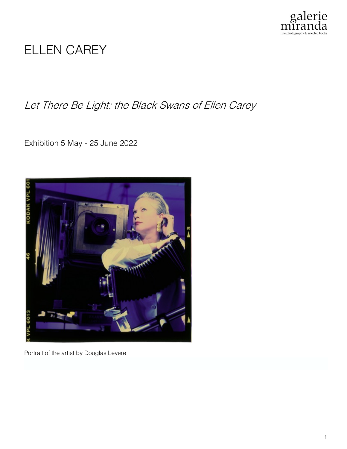

# ELLEN CAREY

Let There Be Light: the Black Swans of Ellen Carey

Exhibition 5 May - 25 June 2022



Portrait of the artist by Douglas Levere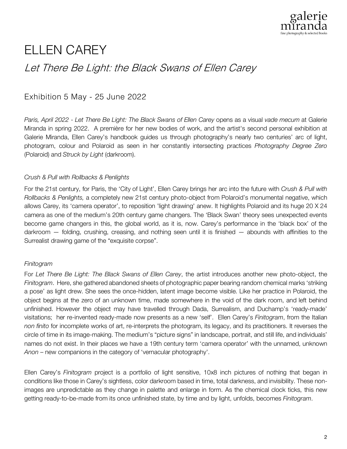

# ELLEN CAREY

## Let There Be Light: the Black Swans of Ellen Carey

### Exhibition 5 May - 25 June 2022

*Paris, April 2022* - *Let There Be Light: The Black Swans of Ellen Carey* opens as a visual *vade mecum* at Galerie Miranda in spring 2022. A première for her new bodies of work, and the artist's second personal exhibition at Galerie Miranda, Ellen Carey's handbook guides us through photography's nearly two centuries' arc of light, photogram, colour and Polaroid as seen in her constantly intersecting practices *Photography Degree Zero* (Polaroid) and *Struck by Light* (darkroom).

### *Crush & Pull with Rollbacks & Penlights*

For the 21st century, for Paris, the 'City of Light', Ellen Carey brings her arc into the future with *Crush & Pull with Rollbacks & Penlights,* a completely new 21st century photo-object from Polaroid's monumental negative, which allows Carey, its 'camera operator', to reposition 'light drawing' anew. It highlights Polaroid and its huge 20 X 24 camera as one of the medium's 20th century game changers. The 'Black Swan' theory sees unexpected events become game changers in this, the global world, as it is, now. Carey's performance in the 'black box' of the darkroom — folding, crushing, creasing, and nothing seen until it is finished — abounds with affinities to the Surrealist drawing game of the "exquisite corpse".

### *Finitogram*

For *Let There Be Light: The Black Swans of Ellen Carey*, the artist introduces another new photo-object, the *Finitogram*. Here, she gathered abandoned sheets of photographic paper bearing random chemical marks 'striking a pose' as light drew. She sees the once-hidden, latent image become visible. Like her practice in Polaroid, the object begins at the zero of an unknown time, made somewhere in the void of the dark room, and left behind unfinished. However the object may have travelled through Dada, Surrealism, and Duchamp's 'ready-made' visitations; her re-invented ready-made now presents as a new 'self'. Ellen Carey's *Finitogram*, from the Italian *non finito* for incomplete works of art, re-interprets the photogram, its legacy, and its practitioners. It reverses the circle of time in its image-making. The medium's "picture signs" in landscape, portrait, and still life, and individuals' names do not exist. In their places we have a 19th century term 'camera operator' with the unnamed, unknown *Anon* – new companions in the category of 'vernacular photography'.

Ellen Carey's *Finitogram* project is a portfolio of light sensitive, 10x8 inch pictures of nothing that began in conditions like those in Carey's sightless, color darkroom based in time, total darkness, and invisibility. These nonimages are unpredictable as they change in palette and enlarge in form. As the chemical clock ticks, this new getting ready-to-be-made from its once unfinished state, by time and by light, unfolds, becomes *Finitogram*.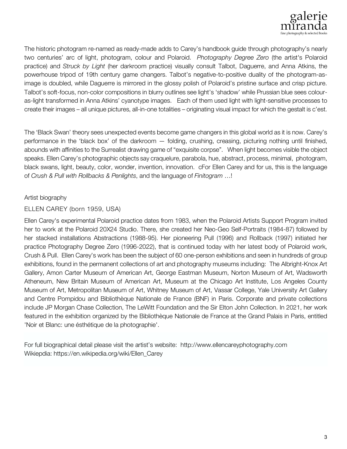

The historic photogram re-named as ready-made adds to Carey's handbook guide through photography's nearly two centuries' arc of light, photogram, colour and Polaroid. *Photography Degree Zero* (the artist's Polaroid practice) and *Struck by Light* (her darkroom practice) visually consult Talbot, Daguerre, and Anna Atkins, the powerhouse tripod of 19th century game changers. Talbot's negative-to-positive duality of the photogram-asimage is doubled, while Daguerre is mirrored in the glossy polish of Polaroid's pristine surface and crisp picture. Talbot's soft-focus, non-color compositions in blurry outlines see light's 'shadow' while Prussian blue sees colouras-light transformed in Anna Atkins' cyanotype images. Each of them used light with light-sensitive processes to create their images – all unique pictures, all-in-one totalities – originating visual impact for which the gestalt is c'est.

The 'Black Swan' theory sees unexpected events become game changers in this global world as it is now. Carey's performance in the 'black box' of the darkroom — folding, crushing, creasing, picturing nothing until finished, abounds with affinities to the Surrealist drawing game of "exquisite corpse". When light becomes visible the object speaks. Ellen Carey's photographic objects say craquelure, parabola, hue, abstract, process, minimal, photogram, black swans, light, beauty, color, wonder, invention, innovation. cFor Ellen Carey and for us, this is the language of *Crush & Pull with Rollbacks & Penlights*, and the language of *Finitogram* …!

#### Artist biography

#### ELLEN CAREY (born 1959, USA)

Ellen Carey's experimental Polaroid practice dates from 1983, when the Polaroid Artists Support Program invited her to work at the Polaroid 20X24 Studio. There, she created her Neo-Geo Self-Portraits (1984-87) followed by her stacked installations Abstractions (1988-95). Her pioneering Pull (1996) and Rollback (1997) initiated her practice Photography Degree Zero (1996-2022), that is continued today with her latest body of Polaroid work, Crush & Pull. Ellen Carey's work has been the subject of 60 one-person exhibitions and seen in hundreds of group exhibitions, found in the permanent collections of art and photography museums including: The Albright-Knox Art Gallery, Amon Carter Museum of American Art, George Eastman Museum, Norton Museum of Art, Wadsworth Atheneum, New Britain Museum of American Art, Museum at the Chicago Art Institute, Los Angeles County Museum of Art, Metropolitan Museum of Art, Whitney Museum of Art, Vassar College, Yale University Art Gallery and Centre Pompidou and Bibliothèque Nationale de France (BNF) in Paris. Corporate and private collections include JP Morgan Chase Collection, The LeWitt Foundation and the Sir Elton John Collection. In 2021, her work featured in the exhibition organized by the Bibliothèque Nationale de France at the Grand Palais in Paris, entitled 'Noir et Blanc: une ésthétique de la photographie'.

For full biographical detail please visit the artist's website: http://www.ellencareyphotography.com Wikiepdia: https://en.wikipedia.org/wiki/Ellen\_Carey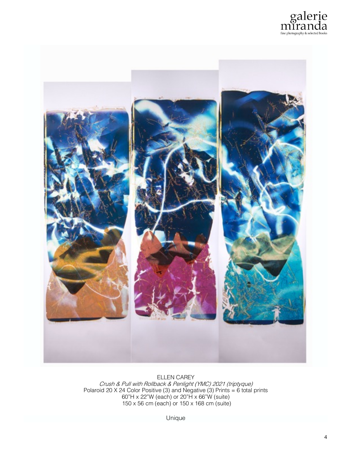



ELLEN CAREY Crush & Pull with Rollback & Penlight (YMC) 2021 (triptyque) Polaroid 20 X 24 Color Positive (3) and Negative (3) Prints = 6 total prints 60"H x 22"W (each) or 20"H x 66"W (suite) 150 x 56 cm (each) or 150 x 168 cm (suite)

Unique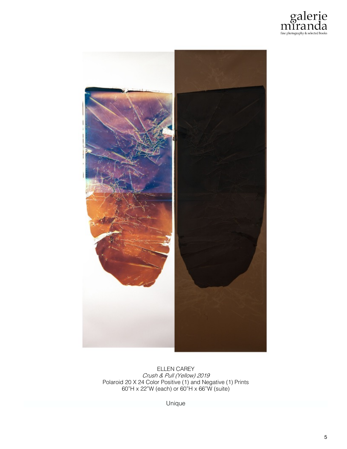



ELLEN CAREY Crush & Pull (Yellow) 2019 Polaroid 20 X 24 Color Positive (1) and Negative (1) Prints 60"H x 22"W (each) or 60"H x 66"W (suite)

Unique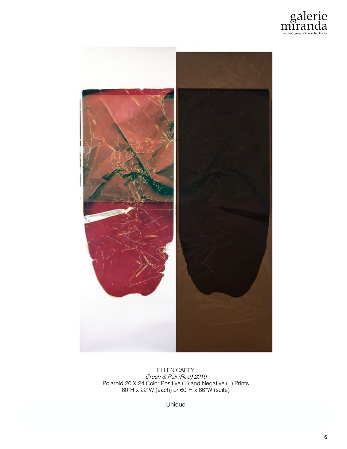



ELLEN CAREY Crush & Pull (Red) 2019 Polaroid 20 X 24 Color Positive (1) and Negative (1) Prints 60"H x 22"W (each) or 60"H x 66"W (suite)

Unique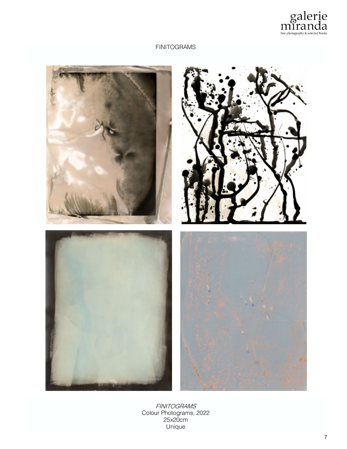

#### FINITOGRAMS



FINITOGRAMS Colour Photograms, 2022 25x20cm Unique